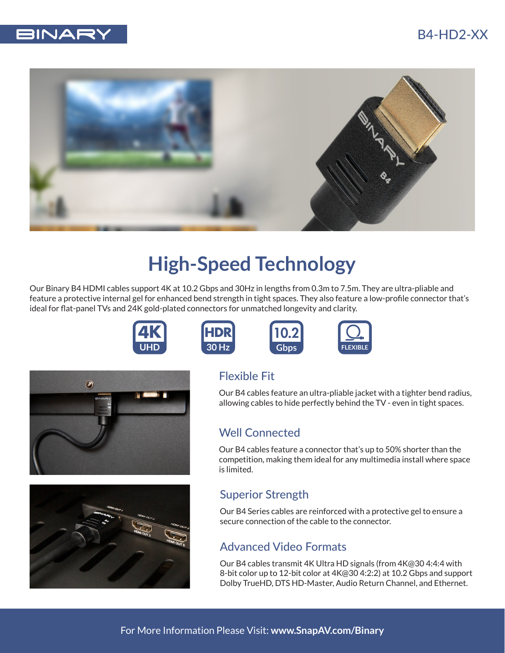## B4-HD2-XX





# **High-Speed Technology**

Our Binary B4 HDMI cables support 4K at 10.2 Gbps and 30Hz in lengths from 0.3m to 7.5m. They are ultra-pliable and feature a protective internal gel for enhanced bend strength in tight spaces. They also feature a low-profile connector that's ideal for flat-panel TVs and 24K gold-plated connectors for unmatched longevity and clarity.

10.2

Gbps







## Flexible Fit

**HDR 30 Hz**

> Our B4 cables feature an ultra-pliable jacket with a tighter bend radius, allowing cables to hide perfectly behind the TV - even in tight spaces.

**FLEXIBLE**

### Well Connected

Our B4 cables feature a connector that's up to 50% shorter than the competition, making them ideal for any multimedia install where space is limited.

### Superior Strength

Our B4 Series cables are reinforced with a protective gel to ensure a secure connection of the cable to the connector.

#### Advanced Video Formats

Our B4 cables transmit 4K Ultra HD signals (from 4K@30 4:4:4 with 8-bit color up to 12-bit color at 4K@30 4:2:2) at 10.2 Gbps and support Dolby TrueHD, DTS HD-Master, Audio Return Channel, and Ethernet.